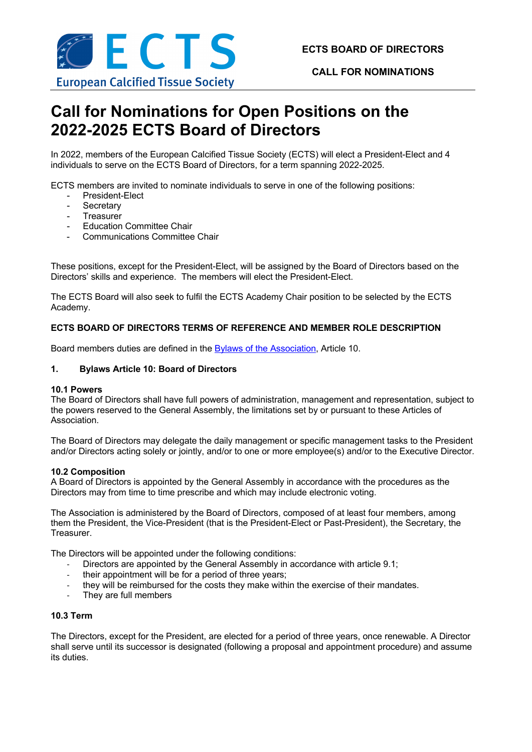

**CALL FOR NOMINATIONS**

# **Call for Nominations for Open Positions on the 2022-2025 ECTS Board of Directors**

In 2022, members of the European Calcified Tissue Society (ECTS) will elect a President-Elect and 4 individuals to serve on the ECTS Board of Directors, for a term spanning 2022-2025.

ECTS members are invited to nominate individuals to serve in one of the following positions:

- President-Elect
- **Secretary**
- **Treasurer**
- Education Committee Chair
- Communications Committee Chair

These positions, except for the President-Elect, will be assigned by the Board of Directors based on the Directors' skills and experience. The members will elect the President-Elect.

The ECTS Board will also seek to fulfil the ECTS Academy Chair position to be selected by the ECTS Academy.

# **ECTS BOARD OF DIRECTORS TERMS OF REFERENCE AND MEMBER ROLE DESCRIPTION**

Board members duties are defined in the Bylaws of the Association, Article 10.

## **1. Bylaws Article 10: Board of Directors**

#### **10.1 Powers**

The Board of Directors shall have full powers of administration, management and representation, subject to the powers reserved to the General Assembly, the limitations set by or pursuant to these Articles of Association.

The Board of Directors may delegate the daily management or specific management tasks to the President and/or Directors acting solely or jointly, and/or to one or more employee(s) and/or to the Executive Director.

#### **10.2 Composition**

A Board of Directors is appointed by the General Assembly in accordance with the procedures as the Directors may from time to time prescribe and which may include electronic voting.

The Association is administered by the Board of Directors, composed of at least four members, among them the President, the Vice-President (that is the President-Elect or Past-President), the Secretary, the Treasurer.

The Directors will be appointed under the following conditions:

- Directors are appointed by the General Assembly in accordance with article 9.1;
- their appointment will be for a period of three years;
- they will be reimbursed for the costs they make within the exercise of their mandates.
- They are full members

#### **10.3 Term**

The Directors, except for the President, are elected for a period of three years, once renewable. A Director shall serve until its successor is designated (following a proposal and appointment procedure) and assume its duties.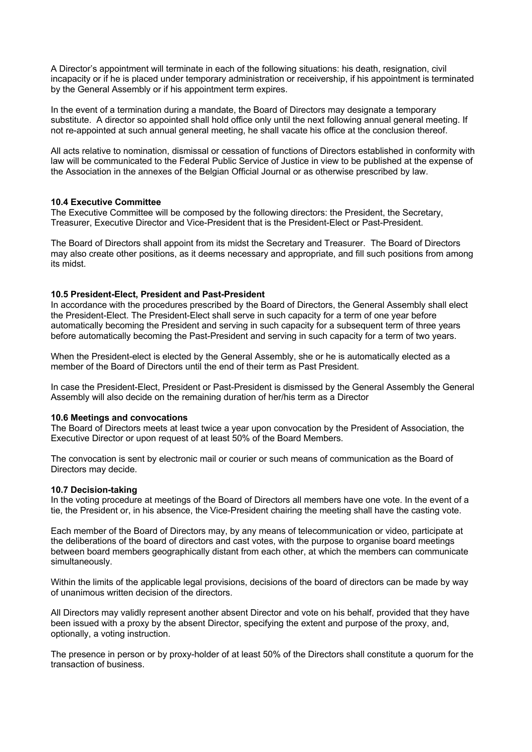A Director's appointment will terminate in each of the following situations: his death, resignation, civil incapacity or if he is placed under temporary administration or receivership, if his appointment is terminated by the General Assembly or if his appointment term expires.

In the event of a termination during a mandate, the Board of Directors may designate a temporary substitute. A director so appointed shall hold office only until the next following annual general meeting. If not re-appointed at such annual general meeting, he shall vacate his office at the conclusion thereof.

All acts relative to nomination, dismissal or cessation of functions of Directors established in conformity with law will be communicated to the Federal Public Service of Justice in view to be published at the expense of the Association in the annexes of the Belgian Official Journal or as otherwise prescribed by law.

#### **10.4 Executive Committee**

The Executive Committee will be composed by the following directors: the President, the Secretary, Treasurer, Executive Director and Vice-President that is the President-Elect or Past-President.

The Board of Directors shall appoint from its midst the Secretary and Treasurer. The Board of Directors may also create other positions, as it deems necessary and appropriate, and fill such positions from among its midst.

## **10.5 President-Elect, President and Past-President**

In accordance with the procedures prescribed by the Board of Directors, the General Assembly shall elect the President-Elect. The President-Elect shall serve in such capacity for a term of one year before automatically becoming the President and serving in such capacity for a subsequent term of three years before automatically becoming the Past-President and serving in such capacity for a term of two years.

When the President-elect is elected by the General Assembly, she or he is automatically elected as a member of the Board of Directors until the end of their term as Past President.

In case the President-Elect, President or Past-President is dismissed by the General Assembly the General Assembly will also decide on the remaining duration of her/his term as a Director

#### **10.6 Meetings and convocations**

The Board of Directors meets at least twice a year upon convocation by the President of Association, the Executive Director or upon request of at least 50% of the Board Members.

The convocation is sent by electronic mail or courier or such means of communication as the Board of Directors may decide.

#### **10.7 Decision-taking**

In the voting procedure at meetings of the Board of Directors all members have one vote. In the event of a tie, the President or, in his absence, the Vice-President chairing the meeting shall have the casting vote.

Each member of the Board of Directors may, by any means of telecommunication or video, participate at the deliberations of the board of directors and cast votes, with the purpose to organise board meetings between board members geographically distant from each other, at which the members can communicate simultaneously.

Within the limits of the applicable legal provisions, decisions of the board of directors can be made by way of unanimous written decision of the directors.

All Directors may validly represent another absent Director and vote on his behalf, provided that they have been issued with a proxy by the absent Director, specifying the extent and purpose of the proxy, and, optionally, a voting instruction.

The presence in person or by proxy-holder of at least 50% of the Directors shall constitute a quorum for the transaction of business.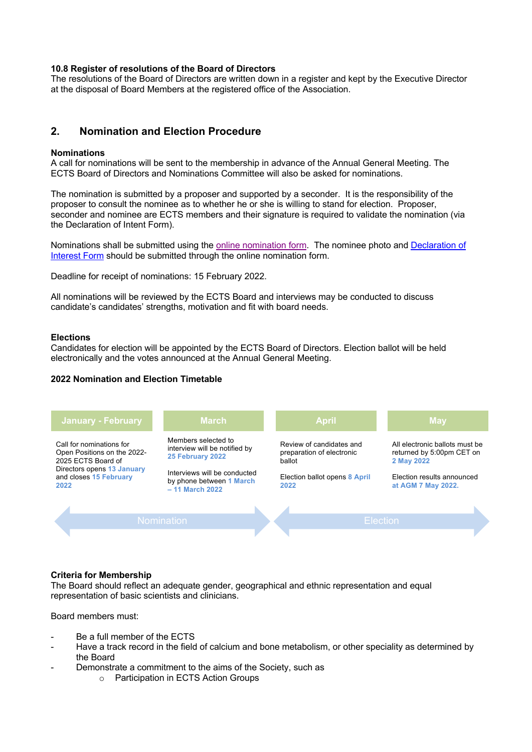## **10.8 Register of resolutions of the Board of Directors**

The resolutions of the Board of Directors are written down in a register and kept by the Executive Director at the disposal of Board Members at the registered office of the Association.

# **2. Nomination and Election Procedure**

#### **Nominations**

A call for nominations will be sent to the membership in advance of the Annual General Meeting. The ECTS Board of Directors and Nominations Committee will also be asked for nominations.

The nomination is submitted by a proposer and supported by a seconder. It is the responsibility of the proposer to consult the nominee as to whether he or she is willing to stand for election. Proposer, seconder and nominee are ECTS members and their signature is required to validate the nomination (via the Declaration of Intent Form).

Nominations shall be submitted using the online nomination form. The nominee photo and Declaration of Interest Form should be submitted through the online nomination form.

Deadline for receipt of nominations: 15 February 2022.

All nominations will be reviewed by the ECTS Board and interviews may be conducted to discuss candidate's candidates' strengths, motivation and fit with board needs.

#### **Elections**

Candidates for election will be appointed by the ECTS Board of Directors. Election ballot will be held electronically and the votes announced at the Annual General Meeting.

#### **2022 Nomination and Election Timetable**



#### **Criteria for Membership**

The Board should reflect an adequate gender, geographical and ethnic representation and equal representation of basic scientists and clinicians.

Board members must:

- Be a full member of the ECTS
- Have a track record in the field of calcium and bone metabolism, or other speciality as determined by the Board
- Demonstrate a commitment to the aims of the Society, such as
	- o Participation in ECTS Action Groups